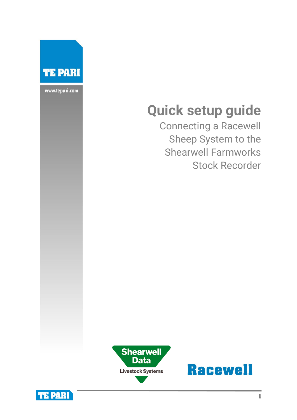

www.tepari.com

# **Quick setup guide**

Connecting a Racewell Sheep System to the Shearwell Farmworks Stock Recorder





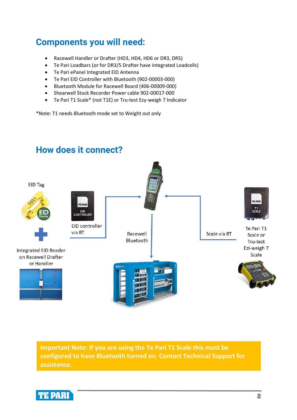## **Components you will need:**

- Racewell Handler or Drafter (HD3, HD4, HD6 or DR3, DR5)
- Te Pari Loadbars (or for DR3/5 Drafter have integrated Loadcells)
- Te Pari ePanel Integrated EID Antenna
- Te Pari EID Controller with Bluetooth (902-00003-000)
- Bluetooth Module for Racewell Board (406-00009-000)
- Shearwell Stock Recorder Power cable 902-00017-000
- Te Pari T1 Scale\* (not T1E) or Tru-test Ezy-weigh 7 Indicator

\*Note: T1 needs Bluetooth mode set to Weight out only



**Important Note: If you are using the Te Pari T1 Scale this must be configured to have Bluetooth turned on. Contact Technical Support for assistance.**



### **2**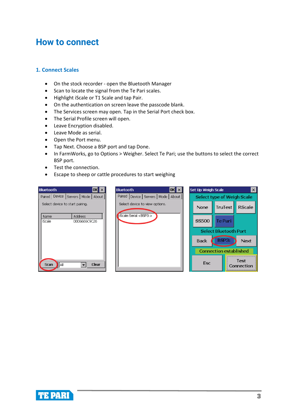### **How to connect**

### **1. Connect Scales**

- On the stock recorder open the Bluetooth Manager
- Scan to locate the signal from the Te Pari scales.
- Highlight iScale or T1 Scale and tap Pair.
- On the authentication on screen leave the passcode blank.
- The Services screen may open. Tap in the Serial Port check box.
- The Serial Profile screen will open.
- Leave Encryption disabled.
- Leave Mode as serial.
- Open the Port menu.
- Tap Next. Choose a BSP port and tap Done.
- In FarmWorks, go to Options > Weigher. Select Te Pari; use the buttons to select the correct BSP port.
- Test the connection.
- Escape to sheep or cattle procedures to start weighing